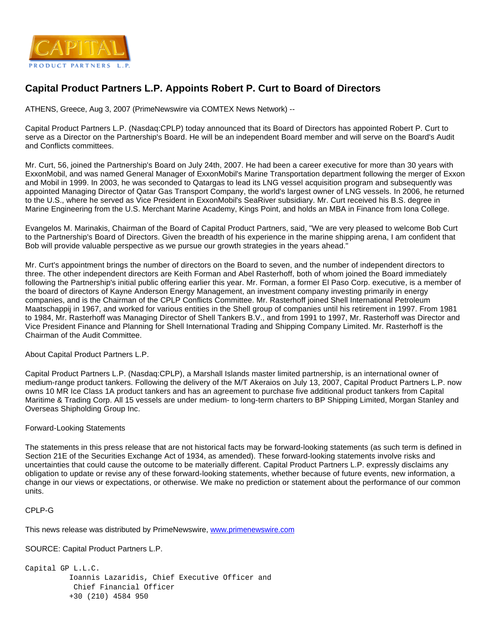

## **Capital Product Partners L.P. Appoints Robert P. Curt to Board of Directors**

ATHENS, Greece, Aug 3, 2007 (PrimeNewswire via COMTEX News Network) --

Capital Product Partners L.P. (Nasdaq:CPLP) today announced that its Board of Directors has appointed Robert P. Curt to serve as a Director on the Partnership's Board. He will be an independent Board member and will serve on the Board's Audit and Conflicts committees.

Mr. Curt, 56, joined the Partnership's Board on July 24th, 2007. He had been a career executive for more than 30 years with ExxonMobil, and was named General Manager of ExxonMobil's Marine Transportation department following the merger of Exxon and Mobil in 1999. In 2003, he was seconded to Qatargas to lead its LNG vessel acquisition program and subsequently was appointed Managing Director of Qatar Gas Transport Company, the world's largest owner of LNG vessels. In 2006, he returned to the U.S., where he served as Vice President in ExxonMobil's SeaRiver subsidiary. Mr. Curt received his B.S. degree in Marine Engineering from the U.S. Merchant Marine Academy, Kings Point, and holds an MBA in Finance from Iona College.

Evangelos M. Marinakis, Chairman of the Board of Capital Product Partners, said, "We are very pleased to welcome Bob Curt to the Partnership's Board of Directors. Given the breadth of his experience in the marine shipping arena, I am confident that Bob will provide valuable perspective as we pursue our growth strategies in the years ahead."

Mr. Curt's appointment brings the number of directors on the Board to seven, and the number of independent directors to three. The other independent directors are Keith Forman and Abel Rasterhoff, both of whom joined the Board immediately following the Partnership's initial public offering earlier this year. Mr. Forman, a former El Paso Corp. executive, is a member of the board of directors of Kayne Anderson Energy Management, an investment company investing primarily in energy companies, and is the Chairman of the CPLP Conflicts Committee. Mr. Rasterhoff joined Shell International Petroleum Maatschappij in 1967, and worked for various entities in the Shell group of companies until his retirement in 1997. From 1981 to 1984, Mr. Rasterhoff was Managing Director of Shell Tankers B.V., and from 1991 to 1997, Mr. Rasterhoff was Director and Vice President Finance and Planning for Shell International Trading and Shipping Company Limited. Mr. Rasterhoff is the Chairman of the Audit Committee.

About Capital Product Partners L.P.

Capital Product Partners L.P. (Nasdaq:CPLP), a Marshall Islands master limited partnership, is an international owner of medium-range product tankers. Following the delivery of the M/T Akeraios on July 13, 2007, Capital Product Partners L.P. now owns 10 MR Ice Class 1A product tankers and has an agreement to purchase five additional product tankers from Capital Maritime & Trading Corp. All 15 vessels are under medium- to long-term charters to BP Shipping Limited, Morgan Stanley and Overseas Shipholding Group Inc.

## Forward-Looking Statements

The statements in this press release that are not historical facts may be forward-looking statements (as such term is defined in Section 21E of the Securities Exchange Act of 1934, as amended). These forward-looking statements involve risks and uncertainties that could cause the outcome to be materially different. Capital Product Partners L.P. expressly disclaims any obligation to update or revise any of these forward-looking statements, whether because of future events, new information, a change in our views or expectations, or otherwise. We make no prediction or statement about the performance of our common units.

```
CPLP-G
```
This news release was distributed by PrimeNewswire, [www.primenewswire.com](http://www.primenewswire.com/)

SOURCE: Capital Product Partners L.P.

```
Capital GP L.L.C.
          Ioannis Lazaridis, Chief Executive Officer and 
           Chief Financial Officer
          +30 (210) 4584 950
```